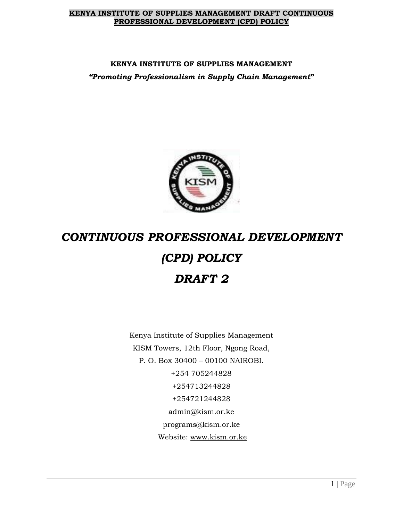#### **KENYA INSTITUTE OF SUPPLIES MANAGEMENT DRAFT CONTINUOUS PROFESSIONAL DEVELOPMENT (CPD) POLICY**

# **KENYA INSTITUTE OF SUPPLIES MANAGEMENT** *"Promoting Professionalism in Supply Chain Management***"**



# *CONTINUOUS PROFESSIONAL DEVELOPMENT (CPD) POLICY DRAFT 2*

Kenya Institute of Supplies Management KISM Towers, 12th Floor, Ngong Road, P. O. Box 30400 – 00100 NAIROBI. +254 705244828 +254713244828 +254721244828 admin@kism.or.ke [programs@kism.or.ke](mailto:programs@kism.or.ke) Website: [www.kism.or.ke](http://www.kism.or.ke/)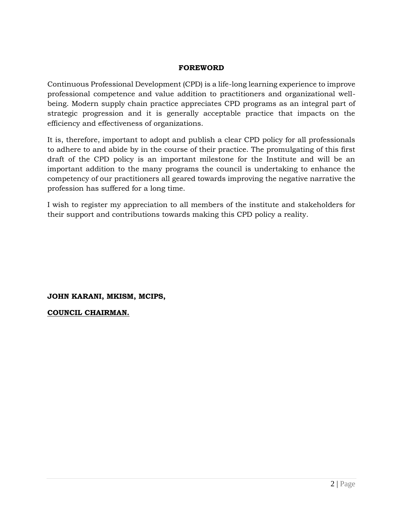## **FOREWORD**

Continuous Professional Development (CPD) is a life-long learning experience to improve professional competence and value addition to practitioners and organizational wellbeing. Modern supply chain practice appreciates CPD programs as an integral part of strategic progression and it is generally acceptable practice that impacts on the efficiency and effectiveness of organizations.

It is, therefore, important to adopt and publish a clear CPD policy for all professionals to adhere to and abide by in the course of their practice. The promulgating of this first draft of the CPD policy is an important milestone for the Institute and will be an important addition to the many programs the council is undertaking to enhance the competency of our practitioners all geared towards improving the negative narrative the profession has suffered for a long time.

I wish to register my appreciation to all members of the institute and stakeholders for their support and contributions towards making this CPD policy a reality.

**JOHN KARANI, MKISM, MCIPS,** 

**COUNCIL CHAIRMAN.**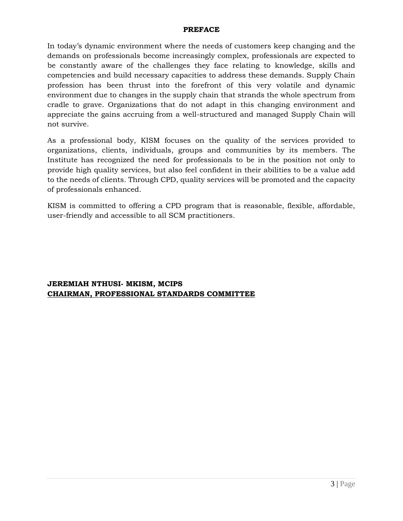#### **PREFACE**

In today's dynamic environment where the needs of customers keep changing and the demands on professionals become increasingly complex, professionals are expected to be constantly aware of the challenges they face relating to knowledge, skills and competencies and build necessary capacities to address these demands. Supply Chain profession has been thrust into the forefront of this very volatile and dynamic environment due to changes in the supply chain that strands the whole spectrum from cradle to grave. Organizations that do not adapt in this changing environment and appreciate the gains accruing from a well-structured and managed Supply Chain will not survive.

As a professional body, KISM focuses on the quality of the services provided to organizations, clients, individuals, groups and communities by its members. The Institute has recognized the need for professionals to be in the position not only to provide high quality services, but also feel confident in their abilities to be a value add to the needs of clients. Through CPD, quality services will be promoted and the capacity of professionals enhanced.

KISM is committed to offering a CPD program that is reasonable, flexible, affordable, user-friendly and accessible to all SCM practitioners.

**JEREMIAH NTHUSI- MKISM, MCIPS CHAIRMAN, PROFESSIONAL STANDARDS COMMITTEE**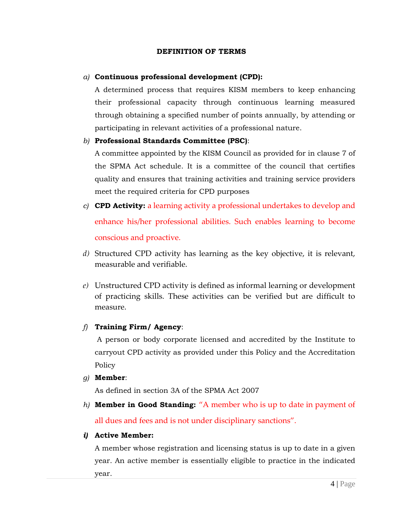#### **DEFINITION OF TERMS**

#### *a)* **Continuous professional development (CPD):**

A determined process that requires KISM members to keep enhancing their professional capacity through continuous learning measured through obtaining a specified number of points annually, by attending or participating in relevant activities of a professional nature.

#### *b)* **Professional Standards Committee (PSC)**:

A committee appointed by the KISM Council as provided for in clause 7 of the SPMA Act schedule. It is a committee of the council that certifies quality and ensures that training activities and training service providers meet the required criteria for CPD purposes

- *c)* **CPD Activity:** a learning activity a professional undertakes to develop and enhance his/her professional abilities. Such enables learning to become conscious and proactive.
- *d)* Structured CPD activity has learning as the key objective, it is relevant, measurable and verifiable.
- *e)* Unstructured CPD activity is defined as informal learning or development of practicing skills. These activities can be verified but are difficult to measure.

## *f)* **Training Firm/ Agency**:

A person or body corporate licensed and accredited by the Institute to carryout CPD activity as provided under this Policy and the Accreditation Policy

#### *g)* **Member**:

As defined in section 3A of the SPMA Act 2007

*h)* **Member in Good Standing:** "A member who is up to date in payment of all dues and fees and is not under disciplinary sanctions".

## *i)* **Active Member:**

A member whose registration and licensing status is up to date in a given year. An active member is essentially eligible to practice in the indicated year.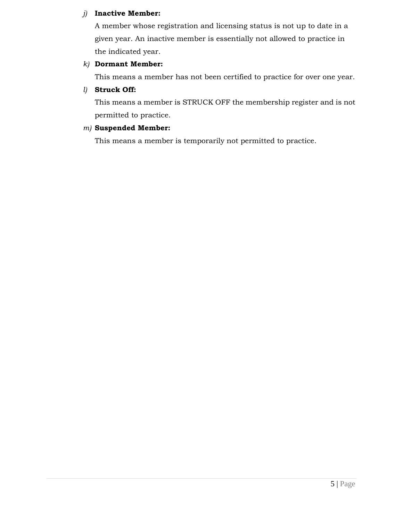## *j)* **Inactive Member:**

A member whose registration and licensing status is not up to date in a given year. An inactive member is essentially not allowed to practice in the indicated year.

## *k)* **Dormant Member:**

This means a member has not been certified to practice for over one year.

## *l)* **Struck Off:**

This means a member is STRUCK OFF the membership register and is not permitted to practice.

## *m)* **Suspended Member:**

This means a member is temporarily not permitted to practice.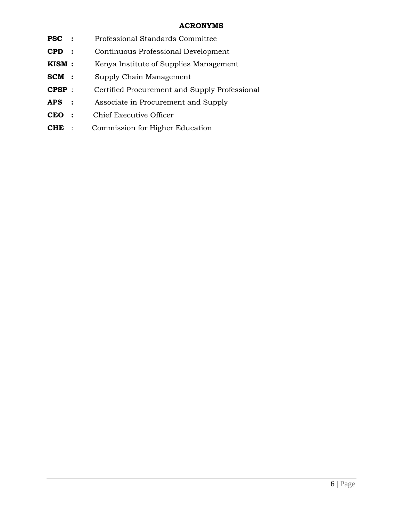## **ACRONYMS**

- **PSC :** Professional Standards Committee
- **CPD :** Continuous Professional Development
- **KISM :** Kenya Institute of Supplies Management
- **SCM :** Supply Chain Management
- **CPSP** : Certified Procurement and Supply Professional
- **APS :** Associate in Procurement and Supply
- **CEO :** Chief Executive Officer
- **CHE** : Commission for Higher Education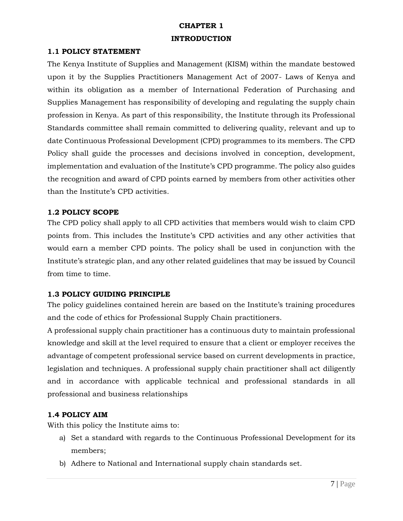# **CHAPTER 1 INTRODUCTION**

#### **1.1 POLICY STATEMENT**

The Kenya Institute of Supplies and Management (KISM) within the mandate bestowed upon it by the Supplies Practitioners Management Act of 2007- Laws of Kenya and within its obligation as a member of International Federation of Purchasing and Supplies Management has responsibility of developing and regulating the supply chain profession in Kenya. As part of this responsibility, the Institute through its Professional Standards committee shall remain committed to delivering quality, relevant and up to date Continuous Professional Development (CPD) programmes to its members. The CPD Policy shall guide the processes and decisions involved in conception, development, implementation and evaluation of the Institute's CPD programme. The policy also guides the recognition and award of CPD points earned by members from other activities other than the Institute's CPD activities.

## **1.2 POLICY SCOPE**

The CPD policy shall apply to all CPD activities that members would wish to claim CPD points from. This includes the Institute's CPD activities and any other activities that would earn a member CPD points. The policy shall be used in conjunction with the Institute's strategic plan, and any other related guidelines that may be issued by Council from time to time.

## **1.3 POLICY GUIDING PRINCIPLE**

The policy guidelines contained herein are based on the Institute's training procedures and the code of ethics for Professional Supply Chain practitioners.

A professional supply chain practitioner has a continuous duty to maintain professional knowledge and skill at the level required to ensure that a client or employer receives the advantage of competent professional service based on current developments in practice, legislation and techniques. A professional supply chain practitioner shall act diligently and in accordance with applicable technical and professional standards in all professional and business relationships

## **1.4 POLICY AIM**

With this policy the Institute aims to:

- a) Set a standard with regards to the Continuous Professional Development for its members;
- b) Adhere to National and International supply chain standards set.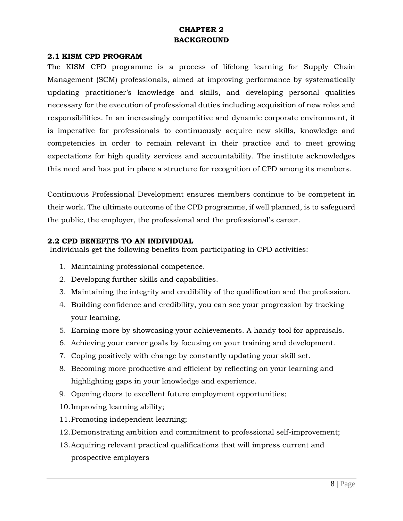# **CHAPTER 2 BACKGROUND**

## **2.1 KISM CPD PROGRAM**

The KISM CPD programme is a process of lifelong learning for Supply Chain Management (SCM) professionals, aimed at improving performance by systematically updating practitioner's knowledge and skills, and developing personal qualities necessary for the execution of professional duties including acquisition of new roles and responsibilities. In an increasingly competitive and dynamic corporate environment, it is imperative for professionals to continuously acquire new skills, knowledge and competencies in order to remain relevant in their practice and to meet growing expectations for high quality services and accountability. The institute acknowledges this need and has put in place a structure for recognition of CPD among its members.

Continuous Professional Development ensures members continue to be competent in their work. The ultimate outcome of the CPD programme, if well planned, is to safeguard the public, the employer, the professional and the professional's career.

#### **2.2 CPD BENEFITS TO AN INDIVIDUAL**

Individuals get the following benefits from participating in CPD activities:

- 1. Maintaining professional competence.
- 2. Developing further skills and capabilities.
- 3. Maintaining the integrity and credibility of the qualification and the profession.
- 4. Building confidence and credibility, you can see your progression by tracking your learning.
- 5. Earning more by showcasing your achievements. A handy tool for appraisals.
- 6. Achieving your career goals by focusing on your training and development.
- 7. Coping positively with change by constantly updating your skill set.
- 8. Becoming more productive and efficient by reflecting on your learning and highlighting gaps in your knowledge and experience.
- 9. Opening doors to excellent future employment opportunities;
- 10.Improving learning ability;
- 11.Promoting independent learning;
- 12.Demonstrating ambition and commitment to professional self-improvement;
- 13.Acquiring relevant practical qualifications that will impress current and prospective employers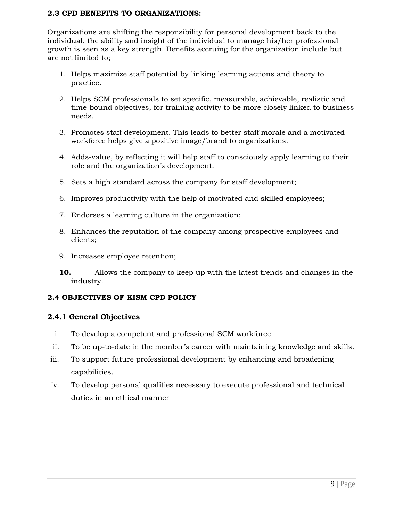## **2.3 CPD BENEFITS TO ORGANIZATIONS:**

Organizations are shifting the responsibility for personal development back to the individual, the ability and insight of the individual to manage his/her professional growth is seen as a key strength. Benefits accruing for the organization include but are not limited to;

- 1. Helps maximize staff potential by linking learning actions and theory to practice.
- 2. Helps SCM professionals to set specific, measurable, achievable, realistic and time-bound objectives, for training activity to be more closely linked to business needs.
- 3. Promotes staff development. This leads to better staff morale and a motivated workforce helps give a positive image/brand to organizations.
- 4. Adds-value, by reflecting it will help staff to consciously apply learning to their role and the organization's development.
- 5. Sets a high standard across the company for staff development;
- 6. Improves productivity with the help of motivated and skilled employees;
- 7. Endorses a learning culture in the organization;
- 8. Enhances the reputation of the company among prospective employees and clients;
- 9. Increases employee retention;
- **10.** Allows the company to keep up with the latest trends and changes in the industry.

## **2.4 OBJECTIVES OF KISM CPD POLICY**

## **2.4.1 General Objectives**

- i. To develop a competent and professional SCM workforce
- ii. To be up-to-date in the member's career with maintaining knowledge and skills.
- iii. To support future professional development by enhancing and broadening capabilities.
- iv. To develop personal qualities necessary to execute professional and technical duties in an ethical manner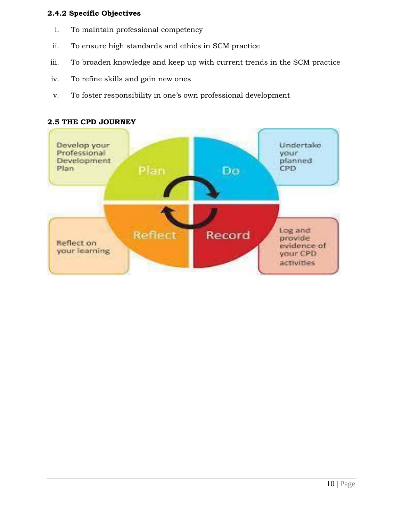# **2.4.2 Specific Objectives**

- i. To maintain professional competency
- ii. To ensure high standards and ethics in SCM practice
- iii. To broaden knowledge and keep up with current trends in the SCM practice
- iv. To refine skills and gain new ones
- v. To foster responsibility in one's own professional development



#### **2.5 THE CPD JOURNEY**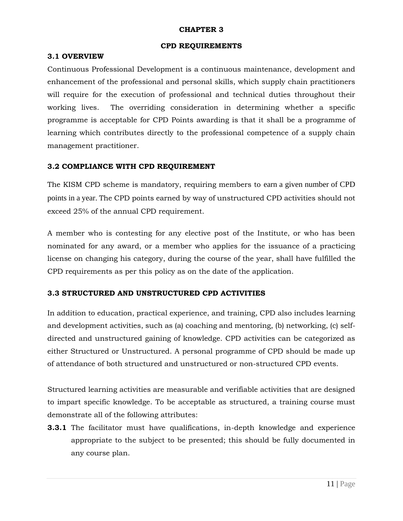#### **CHAPTER 3**

#### **CPD REQUIREMENTS**

#### **3.1 OVERVIEW**

Continuous Professional Development is a continuous maintenance, development and enhancement of the professional and personal skills, which supply chain practitioners will require for the execution of professional and technical duties throughout their working lives. The overriding consideration in determining whether a specific programme is acceptable for CPD Points awarding is that it shall be a programme of learning which contributes directly to the professional competence of a supply chain management practitioner.

## **3.2 COMPLIANCE WITH CPD REQUIREMENT**

The KISM CPD scheme is mandatory, requiring members to earn a given number of CPD points in a year. The CPD points earned by way of unstructured CPD activities should not exceed 25% of the annual CPD requirement.

A member who is contesting for any elective post of the Institute, or who has been nominated for any award, or a member who applies for the issuance of a practicing license on changing his category, during the course of the year, shall have fulfilled the CPD requirements as per this policy as on the date of the application.

## **3.3 STRUCTURED AND UNSTRUCTURED CPD ACTIVITIES**

In addition to education, practical experience, and training, CPD also includes learning and development activities, such as (a) coaching and mentoring, (b) networking, (c) selfdirected and unstructured gaining of knowledge. CPD activities can be categorized as either Structured or Unstructured. A personal programme of CPD should be made up of attendance of both structured and unstructured or non-structured CPD events.

Structured learning activities are measurable and verifiable activities that are designed to impart specific knowledge. To be acceptable as structured, a training course must demonstrate all of the following attributes:

**3.3.1** The facilitator must have qualifications, in-depth knowledge and experience appropriate to the subject to be presented; this should be fully documented in any course plan.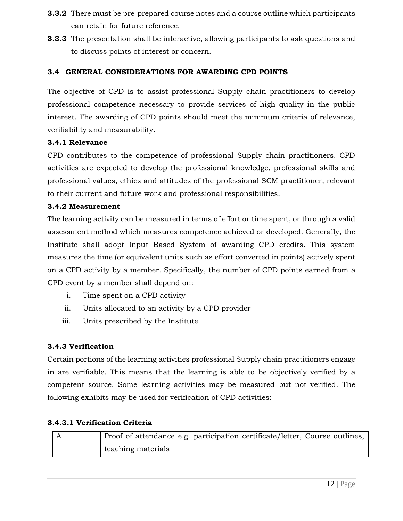- **3.3.2** There must be pre-prepared course notes and a course outline which participants can retain for future reference.
- **3.3.3** The presentation shall be interactive, allowing participants to ask questions and to discuss points of interest or concern.

# **3.4 GENERAL CONSIDERATIONS FOR AWARDING CPD POINTS**

The objective of CPD is to assist professional Supply chain practitioners to develop professional competence necessary to provide services of high quality in the public interest. The awarding of CPD points should meet the minimum criteria of relevance, verifiability and measurability.

# **3.4.1 Relevance**

CPD contributes to the competence of professional Supply chain practitioners. CPD activities are expected to develop the professional knowledge, professional skills and professional values, ethics and attitudes of the professional SCM practitioner, relevant to their current and future work and professional responsibilities.

# **3.4.2 Measurement**

The learning activity can be measured in terms of effort or time spent, or through a valid assessment method which measures competence achieved or developed. Generally, the Institute shall adopt Input Based System of awarding CPD credits. This system measures the time (or equivalent units such as effort converted in points) actively spent on a CPD activity by a member. Specifically, the number of CPD points earned from a CPD event by a member shall depend on:

- i. Time spent on a CPD activity
- ii. Units allocated to an activity by a CPD provider
- iii. Units prescribed by the Institute

# **3.4.3 Verification**

Certain portions of the learning activities professional Supply chain practitioners engage in are verifiable. This means that the learning is able to be objectively verified by a competent source. Some learning activities may be measured but not verified. The following exhibits may be used for verification of CPD activities:

# **3.4.3.1 Verification Criteria**

|  | Proof of attendance e.g. participation certificate/letter, Course outlines, |
|--|-----------------------------------------------------------------------------|
|  | teaching materials                                                          |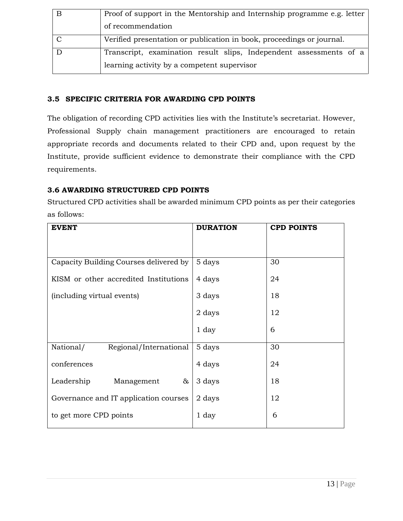| Proof of support in the Mentorship and Internship programme e.g. letter |
|-------------------------------------------------------------------------|
| of recommendation                                                       |
| Verified presentation or publication in book, proceedings or journal.   |
| Transcript, examination result slips, Independent assessments of a      |
| learning activity by a competent supervisor                             |

# **3.5 SPECIFIC CRITERIA FOR AWARDING CPD POINTS**

The obligation of recording CPD activities lies with the Institute's secretariat. However, Professional Supply chain management practitioners are encouraged to retain appropriate records and documents related to their CPD and, upon request by the Institute, provide sufficient evidence to demonstrate their compliance with the CPD requirements.

# **3.6 AWARDING STRUCTURED CPD POINTS**

Structured CPD activities shall be awarded minimum CPD points as per their categories as follows:

| <b>EVENT</b>                           | <b>DURATION</b> | <b>CPD POINTS</b> |
|----------------------------------------|-----------------|-------------------|
|                                        |                 |                   |
|                                        |                 |                   |
| Capacity Building Courses delivered by | 5 days          | 30                |
| KISM or other accredited Institutions  | 4 days          | 24                |
|                                        |                 |                   |
| (including virtual events)             | 3 days          | 18                |
|                                        | 2 days          | 12                |
|                                        |                 |                   |
|                                        | $1 \, day$      | 6                 |
|                                        |                 |                   |
| National/<br>Regional/International    | 5 days          | 30                |
| conferences                            | 4 days          | 24                |
|                                        |                 |                   |
| Leadership<br>&<br>Management          | 3 days          | 18                |
|                                        |                 |                   |
| Governance and IT application courses  | 2 days          | 12                |
| to get more CPD points                 | 1 day           | 6                 |
|                                        |                 |                   |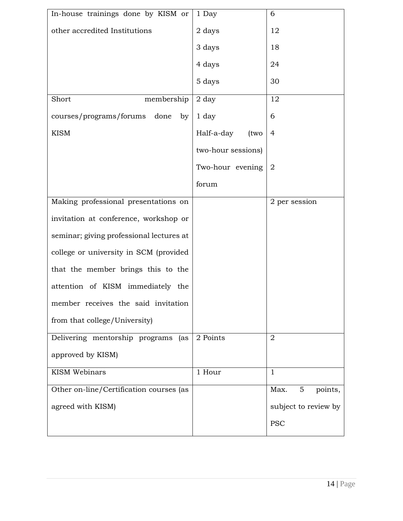| In-house trainings done by KISM or       | 1 Day              | 6                    |
|------------------------------------------|--------------------|----------------------|
| other accredited Institutions            | 2 days             | 12                   |
|                                          | 3 days             | 18                   |
|                                          | 4 days             | 24                   |
|                                          | 5 days             | 30                   |
| Short<br>membership                      | 2 day              | 12                   |
| done<br>courses/programs/forums<br>by    | 1 day              | 6                    |
| <b>KISM</b>                              | Half-a-day<br>(two | $\overline{4}$       |
|                                          | two-hour sessions) |                      |
|                                          | Two-hour evening   | $\overline{2}$       |
|                                          | forum              |                      |
| Making professional presentations on     |                    | 2 per session        |
| invitation at conference, workshop or    |                    |                      |
| seminar; giving professional lectures at |                    |                      |
| college or university in SCM (provided   |                    |                      |
| that the member brings this to the       |                    |                      |
| attention of KISM immediately the        |                    |                      |
| member receives the said invitation      |                    |                      |
| from that college/University)            |                    |                      |
| Delivering mentorship programs<br>(as    | 2 Points           | $\overline{2}$       |
| approved by KISM)                        |                    |                      |
| <b>KISM Webinars</b>                     | 1 Hour             | $\mathbf{1}$         |
| Other on-line/Certification courses (as  |                    | Max.<br>5<br>points, |
| agreed with KISM)                        |                    | subject to review by |
|                                          |                    | <b>PSC</b>           |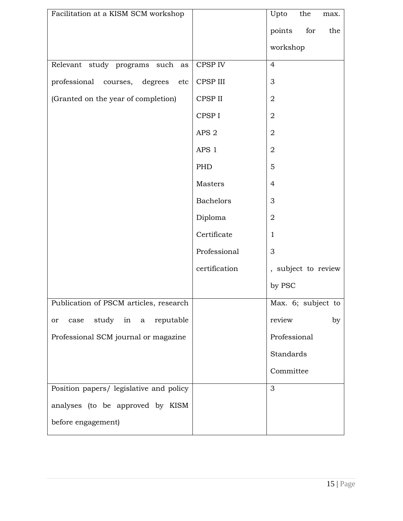| Facilitation at a KISM SCM workshop     |                  | Upto                | the | max. |
|-----------------------------------------|------------------|---------------------|-----|------|
|                                         |                  | points              | for | the  |
|                                         |                  | workshop            |     |      |
| Relevant study programs such<br>as      | CPSP IV          | $\overline{4}$      |     |      |
| professional courses, degrees<br>etc    | CPSP III         | 3                   |     |      |
| (Granted on the year of completion)     | CPSP II          | $\overline{2}$      |     |      |
|                                         | CPSP I           | $\sqrt{2}$          |     |      |
|                                         | APS <sub>2</sub> | $\overline{2}$      |     |      |
|                                         | APS 1            | $\overline{2}$      |     |      |
|                                         | PHD              | 5                   |     |      |
|                                         | Masters          | $\overline{4}$      |     |      |
|                                         | <b>Bachelors</b> | 3                   |     |      |
|                                         | Diploma          | $\overline{2}$      |     |      |
|                                         | Certificate      | $\mathbf{1}$        |     |      |
|                                         | Professional     | 3                   |     |      |
|                                         | certification    | , subject to review |     |      |
|                                         |                  | by PSC              |     |      |
| Publication of PSCM articles, research  |                  | Max. 6; subject to  |     |      |
| study in a reputable<br>case<br>or      |                  | review              |     | by   |
| Professional SCM journal or magazine    |                  | Professional        |     |      |
|                                         |                  | Standards           |     |      |
|                                         |                  | Committee           |     |      |
| Position papers/ legislative and policy |                  | 3                   |     |      |
| analyses (to be approved by KISM        |                  |                     |     |      |
| before engagement)                      |                  |                     |     |      |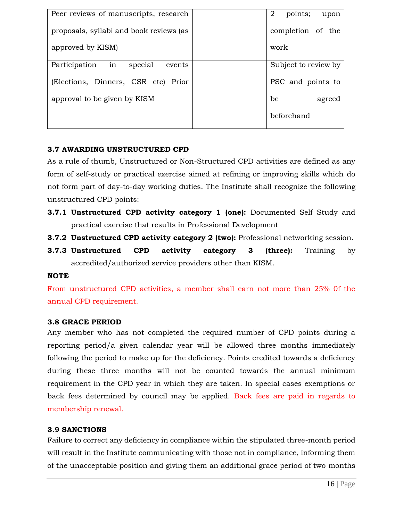| Peer reviews of manuscripts, research   | 2<br>points;<br>upon |
|-----------------------------------------|----------------------|
| proposals, syllabi and book reviews (as | completion of the    |
| approved by KISM)                       | work                 |
| Participation in<br>special<br>events   | Subject to review by |
| (Elections, Dinners, CSR etc) Prior     | PSC and points to    |
| approval to be given by KISM            | be<br>agreed         |
|                                         | beforehand           |
|                                         |                      |

# **3.7 AWARDING UNSTRUCTURED CPD**

 As a rule of thumb, Unstructured or Non-Structured CPD activities are defined as any form of self-study or practical exercise aimed at refining or improving skills which do not form part of day-to-day working duties. The Institute shall recognize the following unstructured CPD points:

- **3.7.1 Unstructured CPD activity category 1 (one):** Documented Self Study and practical exercise that results in Professional Development
- **3.7.2 Unstructured CPD activity category 2 (two):** Professional networking session.
- **3.7.3 Unstructured CPD activity category 3 (three):** Training by accredited/authorized service providers other than KISM.

# **NOTE**

From unstructured CPD activities, a member shall earn not more than 25% 0f the annual CPD requirement.

# **3.8 GRACE PERIOD**

Any member who has not completed the required number of CPD points during a reporting period/a given calendar year will be allowed three months immediately following the period to make up for the deficiency. Points credited towards a deficiency during these three months will not be counted towards the annual minimum requirement in the CPD year in which they are taken. In special cases exemptions or back fees determined by council may be applied. Back fees are paid in regards to membership renewal.

# **3.9 SANCTIONS**

Failure to correct any deficiency in compliance within the stipulated three-month period will result in the Institute communicating with those not in compliance, informing them of the unacceptable position and giving them an additional grace period of two months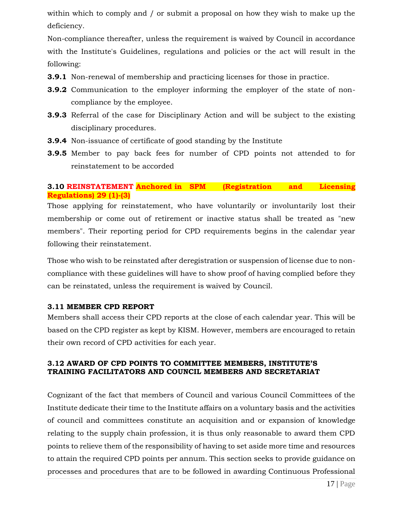within which to comply and / or submit a proposal on how they wish to make up the deficiency.

Non-compliance thereafter, unless the requirement is waived by Council in accordance with the Institute's Guidelines, regulations and policies or the act will result in the following:

- **3.9.1** Non-renewal of membership and practicing licenses for those in practice.
- **3.9.2** Communication to the employer informing the employer of the state of noncompliance by the employee.
- **3.9.3** Referral of the case for Disciplinary Action and will be subject to the existing disciplinary procedures.
- **3.9.4** Non-issuance of certificate of good standing by the Institute
- **3.9.5** Member to pay back fees for number of CPD points not attended to for reinstatement to be accorded

# **3.10 REINSTATEMENT Anchored in SPM (Registration and Licensing Regulations) 29 (1)-(3)**

Those applying for reinstatement, who have voluntarily or involuntarily lost their membership or come out of retirement or inactive status shall be treated as "new members". Their reporting period for CPD requirements begins in the calendar year following their reinstatement.

Those who wish to be reinstated after deregistration or suspension of license due to noncompliance with these guidelines will have to show proof of having complied before they can be reinstated, unless the requirement is waived by Council.

## **3.11 MEMBER CPD REPORT**

Members shall access their CPD reports at the close of each calendar year. This will be based on the CPD register as kept by KISM. However, members are encouraged to retain their own record of CPD activities for each year.

# **3.12 AWARD OF CPD POINTS TO COMMITTEE MEMBERS, INSTITUTE'S TRAINING FACILITATORS AND COUNCIL MEMBERS AND SECRETARIAT**

Cognizant of the fact that members of Council and various Council Committees of the Institute dedicate their time to the Institute affairs on a voluntary basis and the activities of council and committees constitute an acquisition and or expansion of knowledge relating to the supply chain profession, it is thus only reasonable to award them CPD points to relieve them of the responsibility of having to set aside more time and resources to attain the required CPD points per annum. This section seeks to provide guidance on processes and procedures that are to be followed in awarding Continuous Professional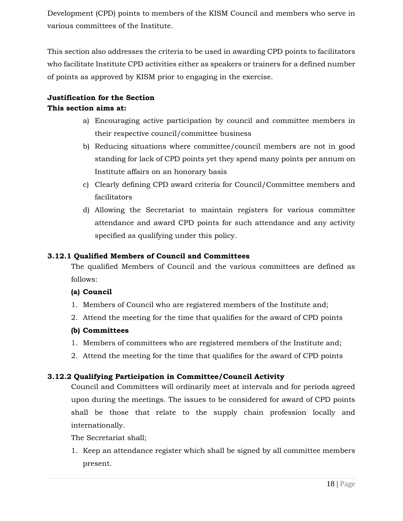Development (CPD) points to members of the KISM Council and members who serve in various committees of the Institute.

This section also addresses the criteria to be used in awarding CPD points to facilitators who facilitate Institute CPD activities either as speakers or trainers for a defined number of points as approved by KISM prior to engaging in the exercise.

# **Justification for the Section This section aims at:**

- a) Encouraging active participation by council and committee members in their respective council/committee business
- b) Reducing situations where committee/council members are not in good standing for lack of CPD points yet they spend many points per annum on Institute affairs on an honorary basis
- c) Clearly defining CPD award criteria for Council/Committee members and facilitators
- d) Allowing the Secretariat to maintain registers for various committee attendance and award CPD points for such attendance and any activity specified as qualifying under this policy.

# **3.12.1 Qualified Members of Council and Committees**

The qualified Members of Council and the various committees are defined as follows:

# **(a) Council**

- 1. Members of Council who are registered members of the Institute and;
- 2. Attend the meeting for the time that qualifies for the award of CPD points

# **(b) Committees**

- 1. Members of committees who are registered members of the Institute and;
- 2. Attend the meeting for the time that qualifies for the award of CPD points

# **3.12.2 Qualifying Participation in Committee/Council Activity**

Council and Committees will ordinarily meet at intervals and for periods agreed upon during the meetings. The issues to be considered for award of CPD points shall be those that relate to the supply chain profession locally and internationally.

The Secretariat shall;

1. Keep an attendance register which shall be signed by all committee members present.